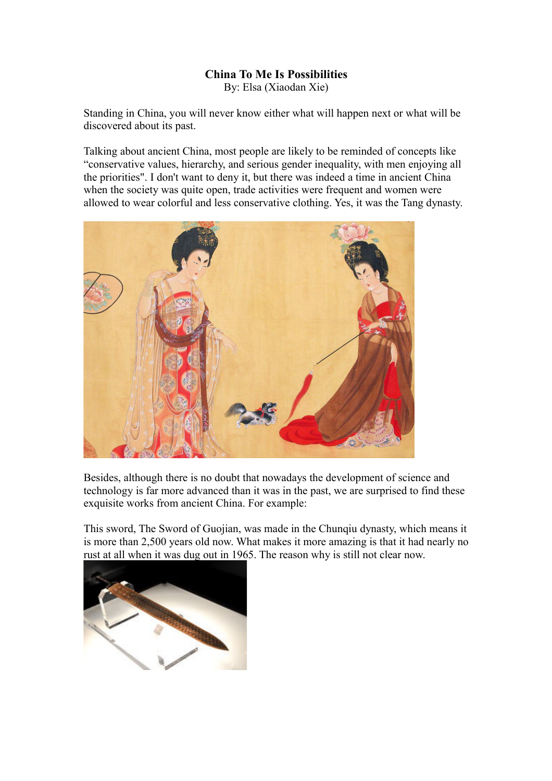## **China To Me Is Possibilities**

By: Elsa (Xiaodan Xie)

Standing in China, you will never know either what will happen next or what will be discovered about its past.

Talking about ancient China, most people are likely to be reminded of concepts like "conservative values, hierarchy, and serious gender inequality, with men enjoying all the priorities". I don't want to deny it, but there was indeed a time in ancient China when the society was quite open, trade activities were frequent and women were allowed to wear colorful and less conservative clothing. Yes, it was the Tang dynasty.



Besides, although there is no doubt that nowadays the development of science and technology is far more advanced than it was in the past, we are surprised to find these exquisite works from ancient China. For example:

This sword, The Sword of Guojian, was made in the Chunqiu dynasty, which means it is more than 2,500 years old now. What makes it more amazing is that it had nearly no rust at all when it was dug out in 1965. The reason why is still not clear now.

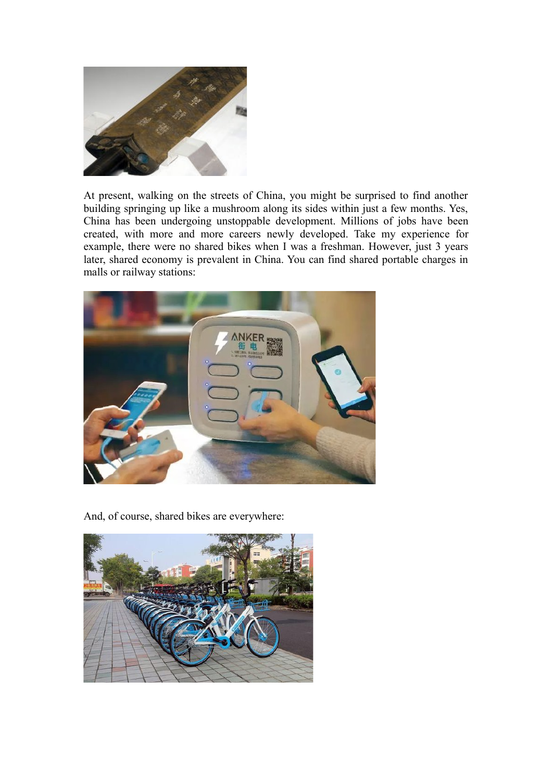

At present, walking on the streets of China, you might be surprised to find another building springing up like a mushroom along its sides within just a few months. Yes, China has been undergoing unstoppable development. Millions of jobs have been created, with more and more careers newly developed. Take my experience for example, there were no shared bikes when I was a freshman. However, just 3 years later, shared economy is prevalent in China. You can find shared portable charges in malls or railway stations:



And, of course, shared bikes are everywhere: